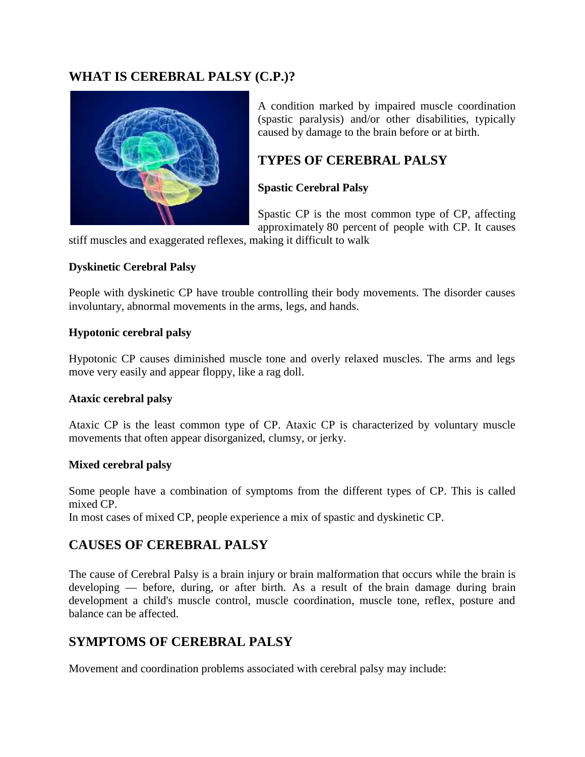### **WHAT IS CEREBRAL PALSY (C.P.)?**



A condition marked by impaired muscle coordination (spastic paralysis) and/or other disabilities, typically caused by damage to the brain before or at birth.

### **TYPES OF CEREBRAL PALSY**

### **Spastic Cerebral Palsy**

Spastic CP is the most common type of CP, affecting approximately 80 percent of people with CP. It causes

stiff muscles and exaggerated reflexes, making it difficult to walk

#### **Dyskinetic Cerebral Palsy**

People with dyskinetic CP have trouble controlling their body movements. The disorder causes involuntary, abnormal movements in the arms, legs, and hands.

#### **Hypotonic cerebral palsy**

Hypotonic CP causes diminished muscle tone and overly relaxed muscles. The arms and legs move very easily and appear floppy, like a rag doll.

#### **Ataxic cerebral palsy**

Ataxic CP is the least common type of CP. Ataxic CP is characterized by voluntary muscle movements that often appear disorganized, clumsy, or jerky.

#### **Mixed cerebral palsy**

Some people have a combination of symptoms from the different types of CP. This is called mixed CP.

In most cases of mixed CP, people experience a mix of spastic and dyskinetic CP.

# **CAUSES OF CEREBRAL PALSY**

The cause of Cerebral Palsy is a brain injury or brain malformation that occurs while the brain is developing — before, during, or after birth. As a result of the brain damage during brain development a child's muscle control, muscle coordination, muscle tone, reflex, posture and balance can be affected.

# **SYMPTOMS OF CEREBRAL PALSY**

Movement and coordination problems associated with cerebral palsy may include: